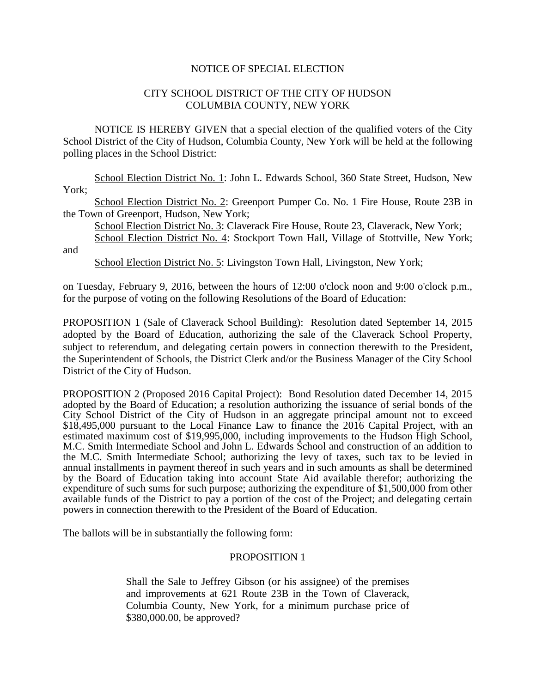## NOTICE OF SPECIAL ELECTION

## CITY SCHOOL DISTRICT OF THE CITY OF HUDSON COLUMBIA COUNTY, NEW YORK

NOTICE IS HEREBY GIVEN that a special election of the qualified voters of the City School District of the City of Hudson, Columbia County, New York will be held at the following polling places in the School District:

School Election District No. 1: John L. Edwards School, 360 State Street, Hudson, New York:

School Election District No. 2: Greenport Pumper Co. No. 1 Fire House, Route 23B in the Town of Greenport, Hudson, New York;

School Election District No. 3: Claverack Fire House, Route 23, Claverack, New York; School Election District No. 4: Stockport Town Hall, Village of Stottville, New York;

and

School Election District No. 5: Livingston Town Hall, Livingston, New York;

on Tuesday, February 9, 2016, between the hours of 12:00 o'clock noon and 9:00 o'clock p.m., for the purpose of voting on the following Resolutions of the Board of Education:

PROPOSITION 1 (Sale of Claverack School Building): Resolution dated September 14, 2015 adopted by the Board of Education, authorizing the sale of the Claverack School Property, subject to referendum, and delegating certain powers in connection therewith to the President, the Superintendent of Schools, the District Clerk and/or the Business Manager of the City School District of the City of Hudson.

PROPOSITION 2 (Proposed 2016 Capital Project): Bond Resolution dated December 14, 2015 adopted by the Board of Education; a resolution authorizing the issuance of serial bonds of the City School District of the City of Hudson in an aggregate principal amount not to exceed \$18,495,000 pursuant to the Local Finance Law to finance the 2016 Capital Project, with an estimated maximum cost of \$19,995,000, including improvements to the Hudson High School, M.C. Smith Intermediate School and John L. Edwards School and construction of an addition to the M.C. Smith Intermediate School; authorizing the levy of taxes, such tax to be levied in annual installments in payment thereof in such years and in such amounts as shall be determined by the Board of Education taking into account State Aid available therefor; authorizing the expenditure of such sums for such purpose; authorizing the expenditure of \$1,500,000 from other available funds of the District to pay a portion of the cost of the Project; and delegating certain powers in connection therewith to the President of the Board of Education.

The ballots will be in substantially the following form:

## PROPOSITION 1

Shall the Sale to Jeffrey Gibson (or his assignee) of the premises and improvements at 621 Route 23B in the Town of Claverack, Columbia County, New York, for a minimum purchase price of \$380,000.00, be approved?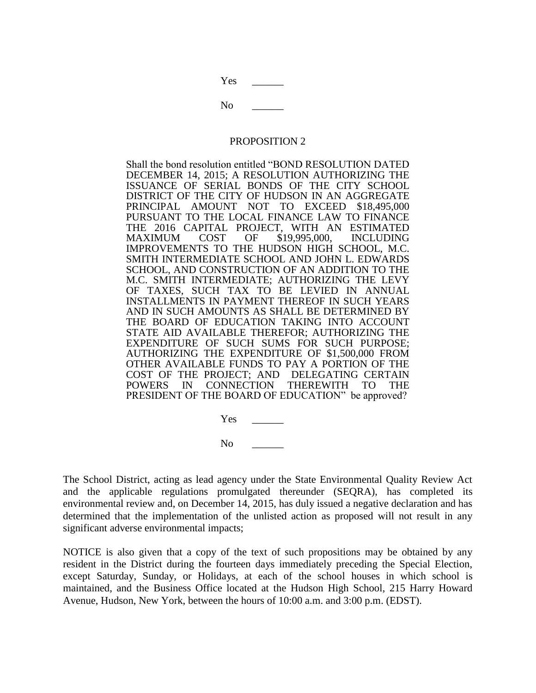Yes

 $\rm No$ 

## PROPOSITION 2

Shall the bond resolution entitled "BOND RESOLUTION DATED DECEMBER 14, 2015; A RESOLUTION AUTHORIZING THE ISSUANCE OF SERIAL BONDS OF THE CITY SCHOOL DISTRICT OF THE CITY OF HUDSON IN AN AGGREGATE PRINCIPAL AMOUNT NOT TO EXCEED \$18,495,000 PURSUANT TO THE LOCAL FINANCE LAW TO FINANCE THE 2016 CAPITAL PROJECT, WITH AN ESTIMATED MAXIMUM COST OF \$19,995,000, INCLUDING IMPROVEMENTS TO THE HUDSON HIGH SCHOOL, M.C. SMITH INTERMEDIATE SCHOOL AND JOHN L. EDWARDS SCHOOL, AND CONSTRUCTION OF AN ADDITION TO THE M.C. SMITH INTERMEDIATE; AUTHORIZING THE LEVY OF TAXES, SUCH TAX TO BE LEVIED IN ANNUAL INSTALLMENTS IN PAYMENT THEREOF IN SUCH YEARS AND IN SUCH AMOUNTS AS SHALL BE DETERMINED BY THE BOARD OF EDUCATION TAKING INTO ACCOUNT STATE AID AVAILABLE THEREFOR; AUTHORIZING THE EXPENDITURE OF SUCH SUMS FOR SUCH PURPOSE; AUTHORIZING THE EXPENDITURE OF \$1,500,000 FROM OTHER AVAILABLE FUNDS TO PAY A PORTION OF THE COST OF THE PROJECT; AND DELEGATING CERTAIN POWERS IN CONNECTION THEREWITH TO THE PRESIDENT OF THE BOARD OF EDUCATION" be approved?

> Yes \_\_\_\_\_\_  $\rm No$

The School District, acting as lead agency under the State Environmental Quality Review Act and the applicable regulations promulgated thereunder (SEQRA), has completed its environmental review and, on December 14, 2015, has duly issued a negative declaration and has determined that the implementation of the unlisted action as proposed will not result in any significant adverse environmental impacts;

NOTICE is also given that a copy of the text of such propositions may be obtained by any resident in the District during the fourteen days immediately preceding the Special Election, except Saturday, Sunday, or Holidays, at each of the school houses in which school is maintained, and the Business Office located at the Hudson High School, 215 Harry Howard Avenue, Hudson, New York, between the hours of 10:00 a.m. and 3:00 p.m. (EDST).